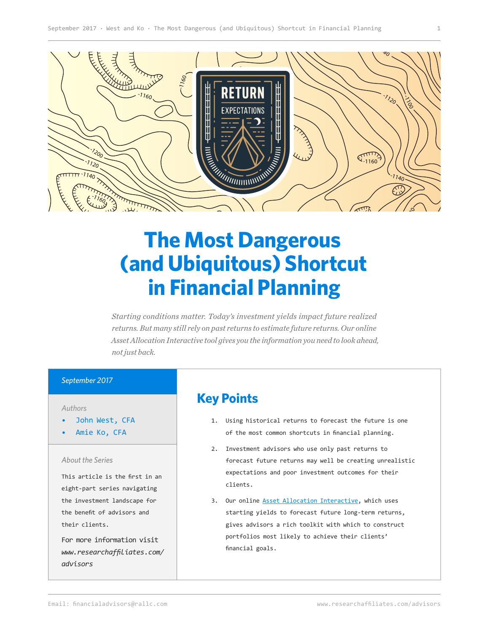

# **The Most Dangerous (and Ubiquitous) Shortcut in Financial Planning**

*Starting conditions matter. Today's investment yields impact future realized returns. But many still rely on past returns to estimate future returns. Our online Asset Allocation Interactive tool gives you the information you need to look ahead, not just back.* 

#### *September 2017*

*Authors*

- John West, CFA
- Amie Ko, CFA

#### *About the Series*

This article is the first in an eight-part series navigating the investment landscape for the benefit of advisors and their clients.

For more information visit *[www.researchaffiliates.com/](http://www.researchaffiliates.com/en_us/advisors.html
) [advisors](http://www.researchaffiliates.com/en_us/advisors.html
)*

## **Key Points**

- 1. Using historical returns to forecast the future is one of the most common shortcuts in financial planning.
- 2. Investment advisors who use only past returns to forecast future returns may well be creating unrealistic expectations and poor investment outcomes for their clients.
- 3. Our online [Asset Allocation Interactive](https://interactive.researchaffiliates.com/asset-allocation/#!/?currency=USD&scale=LINEAR&terms=REAL), which uses starting yields to forecast future long-term returns, gives advisors a rich toolkit with which to construct portfolios most likely to achieve their clients' financial goals.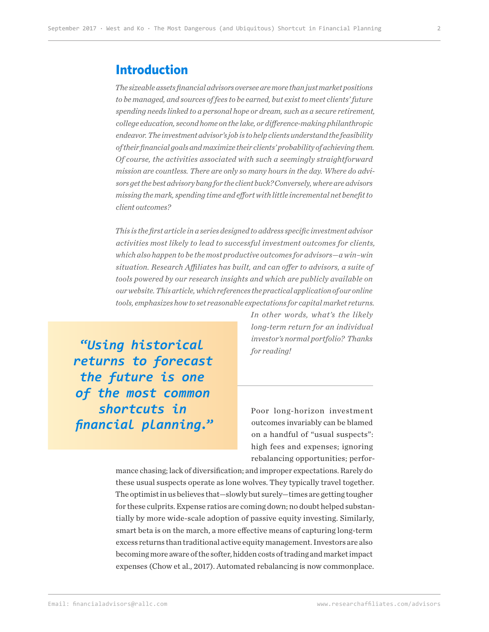#### **Introduction**

*The sizeable assets financial advisors oversee are more than just market positions to be managed, and sources of fees to be earned, but exist to meet clients' future spending needs linked to a personal hope or dream, such as a secure retirement, college education, second home on the lake, or difference-making philanthropic endeavor. The investment advisor's job is to help clients understand the feasibility of their financial goals and maximize their clients' probability of achieving them. Of course, the activities associated with such a seemingly straightforward mission are countless. There are only so many hours in the day. Where do advisors get the best advisory bang for the client buck? Conversely, where are advisors missing the mark, spending time and effort with little incremental net benefit to client outcomes?*

*This is the first article in a series designed to address specific investment advisor activities most likely to lead to successful investment outcomes for clients, which also happen to be the most productive outcomes for advisors—a win–win situation. Research Affiliates has built, and can offer to advisors, a suite of tools powered by our research insights and which are publicly available on our website. This article, which references the practical application of our online tools, emphasizes how to set reasonable expectations for capital market returns.* 

**"***Using historical returns to forecast the future is one of the most common shortcuts in financial planning.***"**

*In other words, what's the likely long-term return for an individual investor's normal portfolio? Thanks for reading!*

Poor long-horizon investment outcomes invariably can be blamed on a handful of "usual suspects": high fees and expenses; ignoring rebalancing opportunities; perfor-

mance chasing; lack of diversification; and improper expectations. Rarely do these usual suspects operate as lone wolves. They typically travel together. The optimist in us believes that—slowly but surely—times are getting tougher for these culprits. Expense ratios are coming down; no doubt helped substantially by more wide-scale adoption of passive equity investing. Similarly, smart beta is on the march, a more effective means of capturing long-term excess returns than traditional active equity management. Investors are also becoming more aware of the softer, hidden costs of trading and market impact expenses (Chow et al., 2017). Automated rebalancing is now commonplace.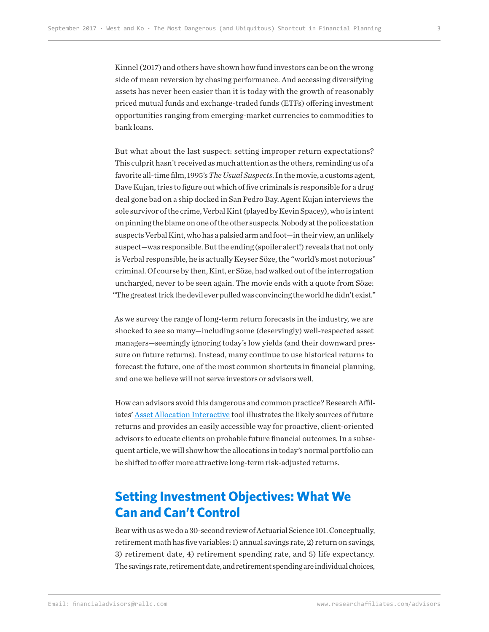Kinnel (2017) and others have shown how fund investors can be on the wrong side of mean reversion by chasing performance. And accessing diversifying assets has never been easier than it is today with the growth of reasonably priced mutual funds and exchange-traded funds (ETFs) offering investment opportunities ranging from emerging-market currencies to commodities to bank loans.

But what about the last suspect: setting improper return expectations? This culprit hasn't received as much attention as the others, reminding us of a favorite all-time film, 1995's *The Usual Suspects*. In the movie, a customs agent, Dave Kujan, tries to figure out which of five criminals is responsible for a drug deal gone bad on a ship docked in San Pedro Bay. Agent Kujan interviews the sole survivor of the crime, Verbal Kint (played by Kevin Spacey), who is intent on pinning the blame on one of the other suspects. Nobody at the police station suspects Verbal Kint, who has a palsied arm and foot—in their view, an unlikely suspect—was responsible. But the ending (spoiler alert!) reveals that not only is Verbal responsible, he is actually Keyser Söze, the "world's most notorious" criminal. Of course by then, Kint, er Söze, had walked out of the interrogation uncharged, never to be seen again. The movie ends with a quote from Söze: "The greatest trick the devil ever pulled was convincing the world he didn't exist."

As we survey the range of long-term return forecasts in the industry, we are shocked to see so many—including some (deservingly) well-respected asset managers—seemingly ignoring today's low yields (and their downward pressure on future returns). Instead, many continue to use historical returns to forecast the future, one of the most common shortcuts in financial planning, and one we believe will not serve investors or advisors well.

How can advisors avoid this dangerous and common practice? Research Affiliates' [Asset Allocation Interactive](https://interactive.researchaffiliates.com/asset-allocation/#!/?currency=USD&scale=LINEAR&terms=REAL) tool illustrates the likely sources of future returns and provides an easily accessible way for proactive, client-oriented advisors to educate clients on probable future financial outcomes. In a subsequent article, we will show how the allocations in today's normal portfolio can be shifted to offer more attractive long-term risk-adjusted returns.

# **Setting Investment Objectives: What We Can and Can't Control**

Bear with us as we do a 30-second review of Actuarial Science 101. Conceptually, retirement math has five variables: 1) annual savings rate, 2) return on savings, 3) retirement date, 4) retirement spending rate, and 5) life expectancy. The savings rate, retirement date, and retirement spending are individual choices,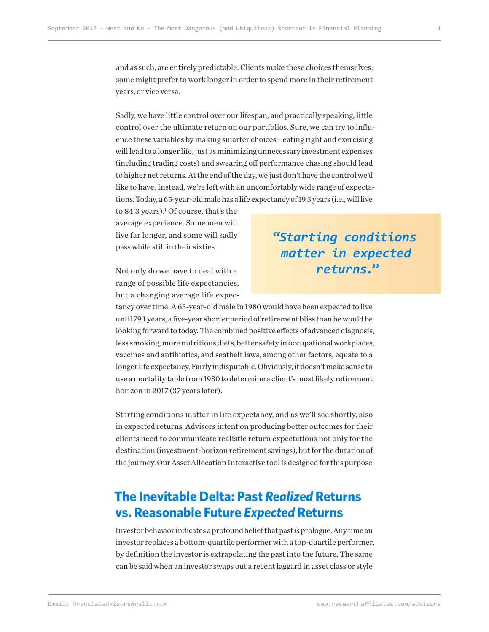and as such, are entirely predictable. Clients make these choices themselves; some might prefer to work longer in order to spend more in their retirement years, or vice versa.

Sadly, we have little control over our lifespan, and practically speaking, little control over the ultimate return on our portfolios. Sure, we can try to influence these variables by making smarter choices—eating right and exercising will lead to a longer life, just as minimizing unnecessary investment expenses (including trading costs) and swearing off performance chasing should lead to higher net returns. At the end of the day, we just don't have the control we'd like to have. Instead, we're left with an uncomfortably wide range of expectations. Today, a 65-year-old male has a life expectancy of 19.3 years (i.e., will live

to 84.3 years).<sup>1</sup> Of course, that's the average experience. Some men will live far longer, and some will sadly pass while still in their sixties.

Not only do we have to deal with a range of possible life expectancies, but a changing average life expec-

tancy over time. A 65-year-old male in 1980 would have been expected to live until 79.1 years, a five-year shorter period of retirement bliss than he would be looking forward to today. The combined positive effects of advanced diagnosis, less smoking, more nutritious diets, better safety in occupational workplaces, vaccines and antibiotics, and seatbelt laws, among other factors, equate to a longer life expectancy. Fairly indisputable. Obviously, it doesn't make sense to use a mortality table from 1980 to determine a client's most likely retirement horizon in 2017 (37 years later).

Starting conditions matter in life expectancy, and as we'll see shortly, also in expected returns. Advisors intent on producing better outcomes for their clients need to communicate realistic return expectations not only for the destination (investment-horizon retirement savings), but for the duration of the journey. Our Asset Allocation Interactive tool is designed for this purpose.

# **The Inevitable Delta: Past** *Realized* **Returns vs. Reasonable Future** *Expected* **Returns**

Investor behavior indicates a profound belief that past *is* prologue. Any time an investor replaces a bottom-quartile performer with a top-quartile performer, by definition the investor is extrapolating the past into the future. The same can be said when an investor swaps out a recent laggard in asset class or style

**"***Starting conditions matter in expected returns.***"**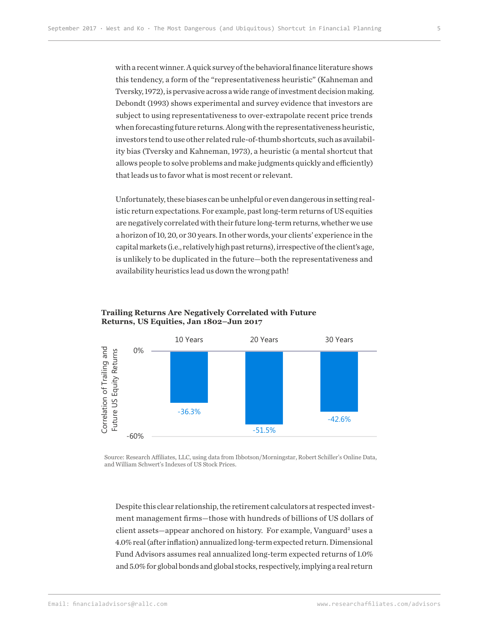with a recent winner. A quick survey of the behavioral finance literature shows this tendency, a form of the "representativeness heuristic" (Kahneman and Tversky, 1972), is pervasive across a wide range of investment decision making. Debondt (1993) shows experimental and survey evidence that investors are subject to using representativeness to over-extrapolate recent price trends when forecasting future returns. Along with the representativeness heuristic, investors tend to use other related rule-of-thumb shortcuts, such as availability bias (Tversky and Kahneman, 1973), a heuristic (a mental shortcut that allows people to solve problems and make judgments quickly and efficiently) that leads us to favor what is most recent or relevant.

Unfortunately, these biases can be unhelpful or even dangerous in setting realistic return expectations. For example, past long-term returns of US equities are negatively correlated with their future long-term returns, whether we use a horizon of 10, 20, or 30 years. In other words, your clients' experience in the capital markets (i.e., relatively high past returns), irrespective of the client's age, is unlikely to be duplicated in the future—both the representativeness and availability heuristics lead us down the wrong path!



#### **Trailing Returns Are Negatively Correlated with Future Returns, US Equities, Jan 1802–Jun 2017**

Source: Research Affiliates, LLC, using data from Ibbotson/Morningstar, Robert Schiller's Online Data, and William Schwert's Indexes of US Stock Prices.

Despite this clear relationship, the retirement calculators at respected investment management firms—those with hundreds of billions of US dollars of client assets—appear anchored on history. For example, Vanguard<sup>2</sup> uses a 4.0% real (after inflation) annualized long-term expected return. Dimensional Fund Advisors assumes real annualized long-term expected returns of 1.0% and 5.0% for global bonds and global stocks, respectively, implying a real return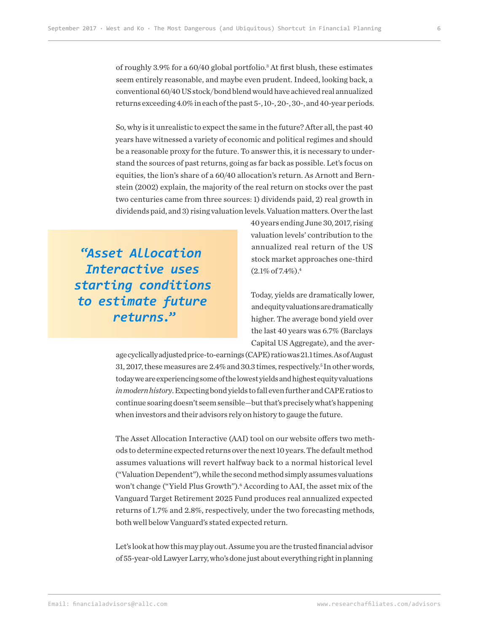of roughly 3.9% for a 60/40 global portfolio.3 At first blush, these estimates seem entirely reasonable, and maybe even prudent. Indeed, looking back, a conventional 60/40 US stock/bond blend would have achieved real annualized returns exceeding 4.0% in each of the past 5-, 10-, 20-, 30-, and 40-year periods.

So, why is it unrealistic to expect the same in the future? After all, the past 40 years have witnessed a variety of economic and political regimes and should be a reasonable proxy for the future. To answer this, it is necessary to understand the sources of past returns, going as far back as possible. Let's focus on equities, the lion's share of a 60/40 allocation's return. As Arnott and Bernstein (2002) explain, the majority of the real return on stocks over the past two centuries came from three sources: 1) dividends paid, 2) real growth in dividends paid, and 3) rising valuation levels. Valuation matters. Over the last

**"***Asset Allocation Interactive uses starting conditions to estimate future returns.***"**

40 years ending June 30, 2017, rising valuation levels' contribution to the annualized real return of the US stock market approaches one-third  $(2.1\% \text{ of } 7.4\%).$ <sup>4</sup>

Today, yields are dramatically lower, and equity valuations are dramatically higher. The average bond yield over the last 40 years was 6.7% (Barclays Capital US Aggregate), and the aver-

age cyclically adjusted price-to-earnings (CAPE) ratio was 21.1 times. As of August 31, 2017, these measures are  $2.4\%$  and 30.3 times, respectively.<sup>5</sup> In other words, today we are experiencing some of the lowest yields and highest equity valuations *in modern history*. Expecting bond yields to fall even further and CAPE ratios to continue soaring doesn't seem sensible—but that's precisely what's happening when investors and their advisors rely on history to gauge the future.

The Asset Allocation Interactive (AAI) tool on our website offers two methods to determine expected returns over the next 10 years. The default method assumes valuations will revert halfway back to a normal historical level ("Valuation Dependent"), while the second method simply assumes valuations won't change ("Yield Plus Growth").<sup>6</sup> According to AAI, the asset mix of the Vanguard Target Retirement 2025 Fund produces real annualized expected returns of 1.7% and 2.8%, respectively, under the two forecasting methods, both well below Vanguard's stated expected return.

Let's look at how this may play out. Assume you are the trusted financial advisor of 55-year-old Lawyer Larry, who's done just about everything right in planning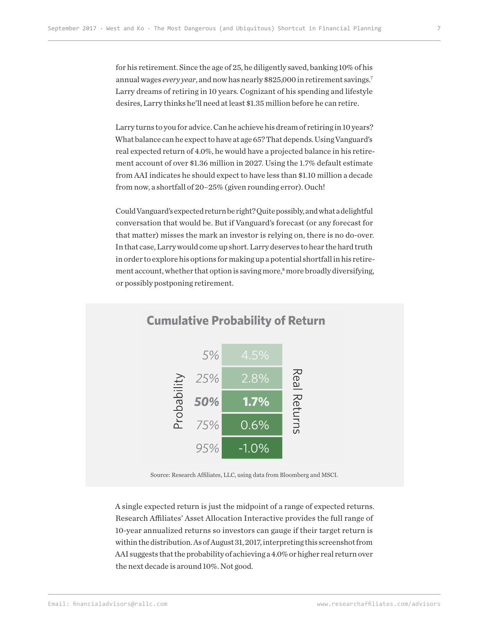for his retirement. Since the age of 25, he diligently saved, banking 10% of his annual wages *every year*, and now has nearly \$825,000 in retirement savings.7 Larry dreams of retiring in 10 years. Cognizant of his spending and lifestyle desires, Larry thinks he'll need at least \$1.35 million before he can retire.

Larry turns to you for advice. Can he achieve his dream of retiring in 10 years? What balance can he expect to have at age 65? That depends. Using Vanguard's real expected return of 4.0%, he would have a projected balance in his retirement account of over \$1.36 million in 2027. Using the 1.7% default estimate from AAI indicates he should expect to have less than \$1.10 million a decade from now, a shortfall of 20–25% (given rounding error). Ouch!

Could Vanguard's expected return be right? Quite possibly, and what a delightful conversation that would be. But if Vanguard's forecast (or any forecast for that matter) misses the mark an investor is relying on, there is no do-over. In that case, Larry would come up short. Larry deserves to hear the hard truth in order to explore his options for making up a potential shortfall in his retirement account, whether that option is saving more,<sup>8</sup> more broadly diversifying, or possibly postponing retirement.



### **Cumulative Probability of Return**

Source: Research Affiliates, LLC, using data from Bloomberg and MSCI.

A single expected return is just the midpoint of a range of expected returns. Research Affiliates' Asset Allocation Interactive provides the full range of 10-year annualized returns so investors can gauge if their target return is within the distribution. As of August 31, 2017, interpreting this screenshot from AAI suggests that the probability of achieving a 4.0% or higher real return over the next decade is around 10%. Not good.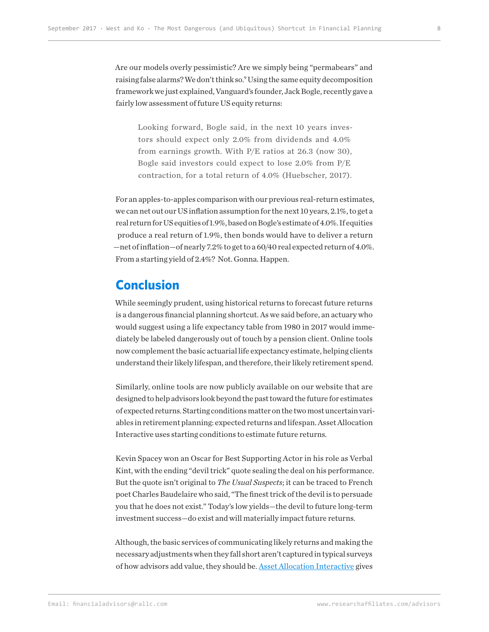Are our models overly pessimistic? Are we simply being "permabears" and raising false alarms? We don't think so.<sup>9</sup> Using the same equity decomposition framework we just explained, Vanguard's founder, Jack Bogle, recently gave a fairly low assessment of future US equity returns:

Looking forward, Bogle said, in the next 10 years investors should expect only 2.0% from dividends and 4.0% from earnings growth. With P/E ratios at 26.3 (now 30), Bogle said investors could expect to lose 2.0% from P/E contraction, for a total return of 4.0% (Huebscher, 2017).

For an apples-to-apples comparison with our previous real-return estimates, we can net out our US inflation assumption for the next 10 years, 2.1%, to get a real return for US equities of 1.9%, based on Bogle's estimate of 4.0%. If equities produce a real return of 1.9%, then bonds would have to deliver a return —net of inflation—of nearly 7.2% to get to a 60/40 real expected return of 4.0%. From a starting yield of 2.4%? Not. Gonna. Happen.

### **Conclusion**

While seemingly prudent, using historical returns to forecast future returns is a dangerous financial planning shortcut. As we said before, an actuary who would suggest using a life expectancy table from 1980 in 2017 would immediately be labeled dangerously out of touch by a pension client. Online tools now complement the basic actuarial life expectancy estimate, helping clients understand their likely lifespan, and therefore, their likely retirement spend.

Similarly, online tools are now publicly available on our website that are designed to help advisors look beyond the past toward the future for estimates of expected returns. Starting conditions matter on the two most uncertain variables in retirement planning: expected returns and lifespan. Asset Allocation Interactive uses starting conditions to estimate future returns.

Kevin Spacey won an Oscar for Best Supporting Actor in his role as Verbal Kint, with the ending "devil trick" quote sealing the deal on his performance. But the quote isn't original to *The Usual Suspects*; it can be traced to French poet Charles Baudelaire who said, "The finest trick of the devil is to persuade you that he does not exist." Today's low yields—the devil to future long-term investment success—do exist and will materially impact future returns.

Although, the basic services of communicating likely returns and making the necessary adjustments when they fall short aren't captured in typical surveys of how advisors add value, they should be. **Asset Allocation Interactive** gives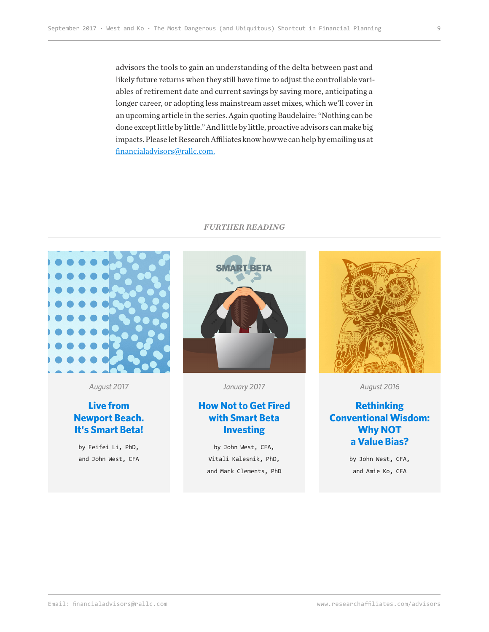advisors the tools to gain an understanding of the delta between past and likely future returns when they still have time to adjust the controllable variables of retirement date and current savings by saving more, anticipating a longer career, or adopting less mainstream asset mixes, which we'll cover in an upcoming article in the series. Again quoting Baudelaire: "Nothing can be done except little by little." And little by little, proactive advisors can make big impacts. Please let Research Affiliates know how we can help by emailing us at financialadvisors@rallc.com.

#### *FURTHER READING*



*August 2017*

#### **Live from [Newport Beach.](https://www.researchaffiliates.com/content/ra/na/en_us/publications/articles/626-live-from-newport-beach-its-smart-beta.html) It's Smart Beta!**

by Feifei Li, PhD, and John West, CFA



*January 2017*

#### **[How Not to Get Fired](https://www.researchaffiliates.com/content/ra/na/en_us/publications/articles/549-how-not-to-get-fired-with-smart-beta-investing.html)  with Smart Beta Investing**

by John West, CFA, Vitali Kalesnik, PhD, and Mark Clements, PhD



*August 2016*

#### **Rethinking [Conventional Wisdom:](https://www.researchaffiliates.com/content/ra/na/en_us/publications/articles/560_rethinking_conventional_wisdom_why_not_a_value_bias.html)  Why NOT a Value Bias?**

by John West, CFA, and Amie Ko, CFA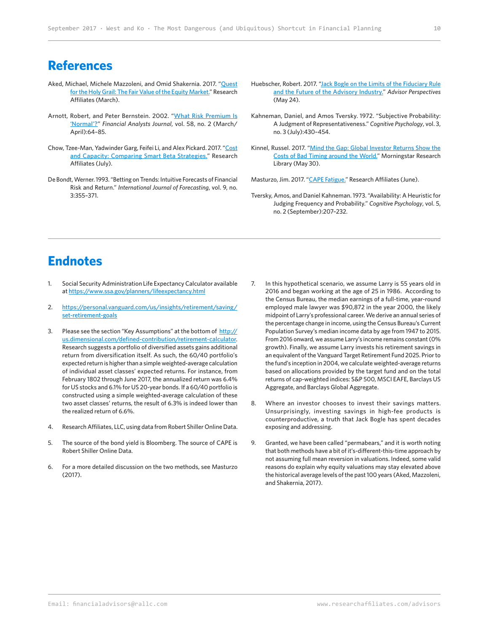### **References**

- Aked, Michael, Michele Mazzoleni, and Omid Shakernia. 2017. "[Quest](https://www.researchaffiliates.com/en_us/publications/articles/588-quest-for-the-holy-grail-the-fair-value-of-the-equity-market.html)  [for the Holy Grail: The Fair Value of the Equity Market](https://www.researchaffiliates.com/en_us/publications/articles/588-quest-for-the-holy-grail-the-fair-value-of-the-equity-market.html)." Research Affiliates (March).
- Arnott, Robert, and Peter Bernstein. 2002. "[What Risk Premium Is](https://www.researchaffiliates.com/documents/FAJ_Mar_Apr_2002_What_Risk_Premium_is_Normal.pdf)  ['Normal'?](https://www.researchaffiliates.com/documents/FAJ_Mar_Apr_2002_What_Risk_Premium_is_Normal.pdf)" *Financial Analysts Journal*, vol. 58, no. 2 (March/ April):64–85.
- Chow, Tzee-Man, Yadwinder Garg, Feifei Li, and Alex Pickard. 2017. "Cost [and Capacity: Comparing Smart Beta Strategies."](https://www.researchaffiliates.com/en_us/publications/articles/625-cost-and-capacity-comparing-smart-beta-strategies.html) Research Affiliates (July).
- De Bondt, Werner. 1993. "Betting on Trends: Intuitive Forecasts of Financial Risk and Return." *International Journal of Forecasting*, vol. 9, no. 3:355–371.
- Huebscher, Robert. 2017. "Jack Bogle on the Limits of the Fiduciary Rule [and the Future of the Advisory Industry."](https://www.advisorperspectives.com/articles/2017/05/24/jack-bogle-on-the-limits-of-the-fiduciary-rule-and-the-future-of-the-advisory-industry?channel=Municipal+Bonds) *Advisor Perspectives*  (May 24).
- Kahneman, Daniel, and Amos Tversky. 1972. "Subjective Probability: A Judgment of Representativeness." *Cognitive Psychology*, vol. 3, no. 3 (July):430–454.
- Kinnel, Russel. 2017. "Mind the Gap: Global Investor Returns Show the [Costs of Bad Timing around the World."](http://corporate1.morningstar.com/ResearchLibrary/article/810671/mind-the-gap-2017/) Morningstar Research Library (May 30).

Masturzo, Jim. 2017. "[CAPE Fatigue."](https://www.researchaffiliates.com/en_us/publications/articles/618-cape-fatigue.html) Research Affiliates (June).

Tversky, Amos, and Daniel Kahneman. 1973. "Availability: A Heuristic for Judging Frequency and Probability." *Cognitive Psychology*, vol. 5, no. 2 (September):207–232.

## **Endnotes**

- 1. Social Security Administration Life Expectancy Calculator available at<https://www.ssa.gov/planners/lifeexpectancy.html>
- 2. [https://personal.vanguard.com/us/insights/retirement/saving/](https://personal.vanguard.com/us/insights/retirement/saving/set-retirement-goals) [set-retirement-goals](https://personal.vanguard.com/us/insights/retirement/saving/set-retirement-goals)
- 3. Please see the section "Key Assumptions" at the bottom of [http://](http://us.dimensional.com/defined-contribution/retirement-calculator) [us.dimensional.com/defined-contribution/retirement-calculator.](http://us.dimensional.com/defined-contribution/retirement-calculator) Research suggests a portfolio of diversified assets gains additional return from diversification itself. As such, the 60/40 portfolio's expected return is higher than a simple weighted-average calculation of individual asset classes' expected returns. For instance, from February 1802 through June 2017, the annualized return was 6.4% for US stocks and 6.1% for US 20-year bonds. If a 60/40 portfolio is constructed using a simple weighted-average calculation of these two asset classes' returns, the result of 6.3% is indeed lower than the realized return of 6.6%.
- 4. Research Affiliates, LLC, using data from Robert Shiller Online Data.
- 5. The source of the bond yield is Bloomberg. The source of CAPE is Robert Shiller Online Data.
- 6. For a more detailed discussion on the two methods, see Masturzo  $(2017)$
- 7. In this hypothetical scenario, we assume Larry is 55 years old in 2016 and began working at the age of 25 in 1986. According to the Census Bureau, the median earnings of a full-time, year-round employed male lawyer was \$90,872 in the year 2000, the likely midpoint of Larry's professional career. We derive an annual series of the percentage change in income, using the Census Bureau's Current Population Survey's median income data by age from 1947 to 2015. From 2016 onward, we assume Larry's income remains constant (0% growth). Finally, we assume Larry invests his retirement savings in an equivalent of the Vanguard Target Retirement Fund 2025. Prior to the fund's inception in 2004, we calculate weighted-average returns based on allocations provided by the target fund and on the total returns of cap-weighted indices: S&P 500, MSCI EAFE, Barclays US Aggregate, and Barclays Global Aggregate.
- 8. Where an investor chooses to invest their savings matters. Unsurprisingly, investing savings in high-fee products is counterproductive, a truth that Jack Bogle has spent decades exposing and addressing.
- 9. Granted, we have been called "permabears," and it is worth noting that both methods have a bit of it's-different-this-time approach by not assuming full mean reversion in valuations. Indeed, some valid reasons do explain why equity valuations may stay elevated above the historical average levels of the past 100 years (Aked, Mazzoleni, and Shakernia, 2017).